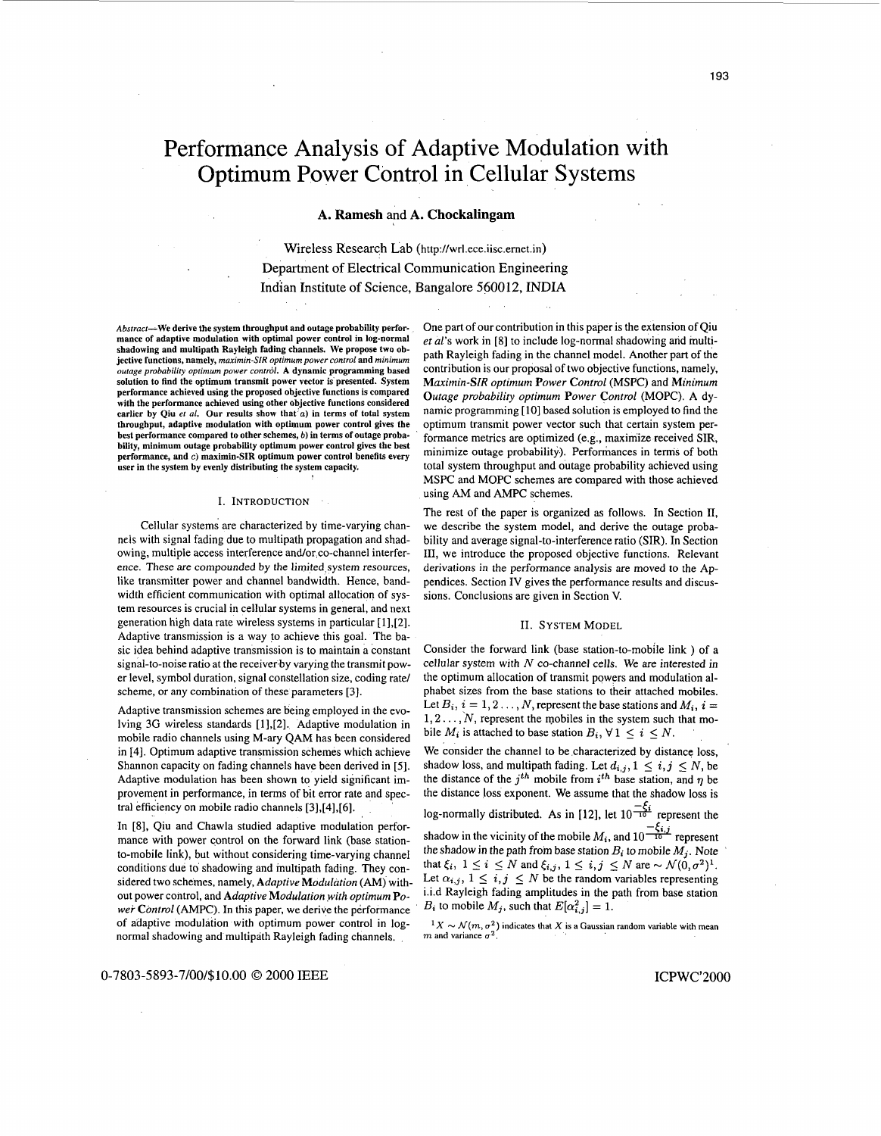# Performance Analysis of Adaptive Modulation with Optimum Power Control in Cellular Systems

# **A. Ramesh** and **A. Chockalingam**

Wireless Research Lab **[\(http:l/wrl.ece.iisc.emet.in](http:l/wrl.ece.iisc.emet.in))**  Department **of** Electrical Communication Engineering Indian Institute **of** Science, Bangalore 5600 12, **INDIA** 

*Abstracr-We* **derive the system throughput and outage probability performance of adaptive modulation with optimal power control in log-normal shadowing and multipath Rayleigh fading channels. We propose two objective functions, namely,** *maxrmrn-SIR optrmum power control* **and** *mrnimum outage probabrlrty optimum power control.* **A dynamic programming based solution to find the optimum transmit power vector is presented. System performance achieved using the proposed objective functions is compared with the performance achieved using other objective functions considered earlier by Qiu** *er al.* **Our results show that** *a)* **in terms of total system throughput, adaptive modulation with optimum power control gives the best performance compared to other schemes,** *b)* **in terms of outage probability, minimum outage probability optimum power control gives the hest performance, and** *c)* **maximin-SIR optimum power control benefits every user in the system by evenly distributing the system capacity.** 

#### I. INTRODUCTION

Cellular systems are characterized by time-varying channels with signal fading due to multipath propagation and shadowing, multiple access interference and/or co-channel interference. These are compounded by the limited system resources, like transmitter power and channel bandwidth. Hence, bandwidth efficient communication with optimal allocation of system resources is crucial in cellular systems in general, and next generation high data rate wireless systems in particular [1],[2]. Adaptive transmission is a way to achieve this goal. The basic idea behind adaptive transmission is to maintain a constant signal-to-noise ratio at the receiver by varying the transmit power level, symbol duration, signal constellation size, coding ratel scheme, or any combination of these parameters [3].

Adaptive transmission schemes are being employed in the evolving 3G wireless standards [1],[2]. Adaptive modulation in mobile radio channels using M-ary QAM has been considered in 141. Optimum adaptive transmission schemes which achieve Shannon capacity on fading channels have been derived in [5]. Adaptive modulation has been shown to yield significant improvement in performance, in terms of bit error rate and spectral efficiency on mobile radio channels [3],[4],[6].

In [8], Qiu and Chawla studied adaptive modulation performance with power control on the forward link (base stationto-mobile link), but without considering time-varying channel conditions due to shadowing and multipath fading. They considered two schemes, namely, *Adaptive Modulation* (AM) without power control, and *Adaptive Modulation with optimum Power Control* (AMPC). In this paper, we derive the performance of adaptive modulation with optimum power control in lognormal shadowing and multipath Rayleigh fading channels.

One part of our contribution in this paper is the extension of Qiu *et al's* work in [8] to include log-normal shadowing and multipath Rayleigh fading in the channel model. Another part of the contribution is our proposal of two objective functions, namely, *Maximin-SIR optimum Power Control* (MSPC) and *Minimum Outage probability optimum Power Control* (MOPC). A dynamic programming [10] based solution is employed to find the optimum transmit power vector such that certain system performance metrics are optimized (e.g., maximize received SIR, minimize outage probability). Performances in terms of both total system throughput and outage probability achieved using MSPC and MOPC schemes are compared with those achieved using AM and AMPC schemes.

The rest of the paper is organized as follows. In Section II, we describe the system model, and derive the outage probability and average signal-to-interference ratio (SIR). In Section 111, we introduce the proposed objective functions. Relevant derivations in the performance analysis are moved *to* the Appendices. Section IV gives the performance results and discussions. Conclusions are given in Section V.

#### 11. SYSTEM MODEL

Consider the forward link (base station-to-mobile link ) of a cellular system with *N* co-channel cells. We are interested in the optimum allocation of transmit powers and modulation alphabet sizes from the base stations to their attached mobiles. Let  $B_i$ ,  $i = 1, 2, \ldots, N$ , represent the base stations and  $M_i$ ,  $i =$  $1, 2, \ldots, N$ , represent the mobiles in the system such that mobile  $M_i$  is attached to base station  $B_i$ ,  $\forall 1 \leq i \leq N$ .

We consider the channel to be characterized by distance loss, shadow loss, and multipath fading. Let  $d_{i,j}$ ,  $1 \leq i,j \leq N$ , be the distance of the *j*<sup>th</sup> mobile from *i*<sup>th</sup> base station, and *q* be the distance loss exponent. We assume that the shadow loss is log-normally distributed. As in [12], let  $10\frac{-\xi_i}{\tau_0}$  represent the the distance loss exponent. We assume that the shadow loss is

log-normally distributed. As in [12], let  $10^{\frac{-\zeta_i}{10}}$  represent the shadow in the vicinity of the mobile  $M_i$ , and  $10^{\frac{-\zeta_{i,j}}{10}}$  represent

the shadow in the path from base station  $B_i$  to mobile  $M_j$ . Note that  $\xi_i$ ,  $1 \leq i \leq N$  and  $\xi_{i,j}$ ,  $1 \leq i, j \leq N$  are  $\sim \mathcal{N}(0, \sigma^2)^1$ . Let  $\alpha_{i,j}$ ,  $1 \leq i,j \leq N$  be the random variables representing i.i.d Rayleigh fading amplitudes in the path from base station  $B_i$  to mobile  $M_j$ , such that  $E[\alpha_{i,j}^2] = 1$ .

 $M_X \sim \mathcal{N}(m, \sigma^2)$  indicates that *X* is a Gaussian random variable with mean  $m$  and variance  $\sigma^2$ .

0-7803-5893-7/00/\$10.00 © 2000 IEEE **Icpus** 10.00 CPWC'2000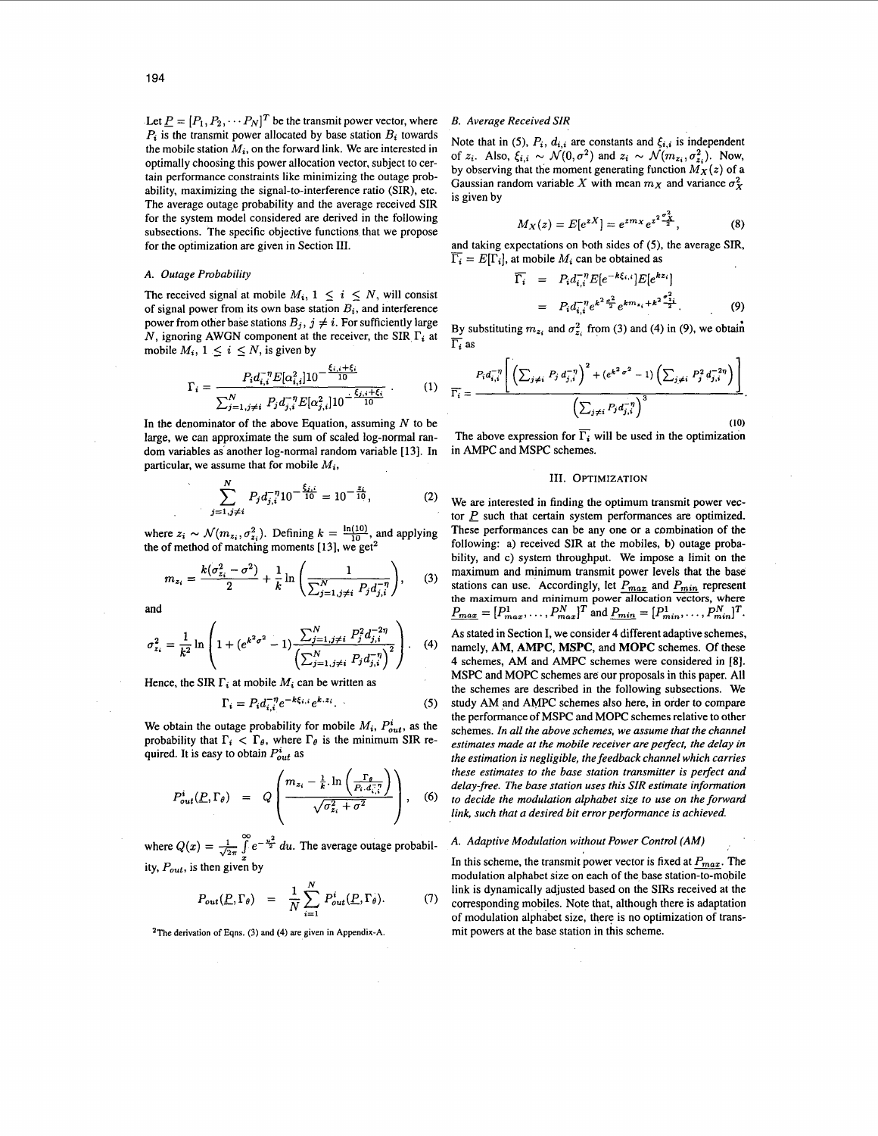Let  $P = [P_1, P_2, \cdots P_N]^T$  be the transmit power vector, where *B. Average Received SIR*  $P_i$  is the transmit power allocated by base station  $B_i$  towards the mobile station  $M_i$ , on the forward link. We are interested in optimally choosing this power allocation vector, subject to certain performance constraints like minimizing the outage probability, maximizing the signal-to-interference ratio **(SIR),** etc. The average outage probability and the average received **SIR**  for the system model considered are derived in the following subsections. The specific objective functions that we propose for the optimization are given in Section **111.** 

# *A. Outage Probability*

The received signal at mobile  $M_i$ ,  $1 \leq i \leq N$ , will consist of signal power from its own base station *Bi,* and interference power from other base stations  $B_j$ ,  $j \neq i$ . For sufficiently large N, ignoring AWGN component at the receiver, the SIR  $\Gamma_i$  at mobile  $M_i$ ,  $1 \leq i \leq N$ , is given by

$$
\Gamma_{i} = \frac{P_{i}d_{i,i}^{-\eta}E[\alpha_{i,i}^{2}]10^{-\frac{\xi_{i,i}+\xi_{i}}{10}}}{\sum_{j=1,j\neq i}^{N}P_{j}d_{j,i}^{-\eta}E[\alpha_{j,i}^{2}]10^{-\frac{\xi_{j,i}+\xi_{i}}{10}}} \tag{1}
$$

In the denominator of the above Equation, assuming  $N$  to be large, we can approximate the sum of scaled log-normal random variables as another log-normal random variable [13]. In particular, we assume that for mobile *Mi,* 

$$
\sum_{j=1,j\neq i}^{N} P_j d_{j,i}^{-\eta} 10^{-\frac{\xi_{j,i}}{10}} = 10^{-\frac{z_i}{10}},\tag{2}
$$

where  $z_i \sim \mathcal{N}(m_{z_i}, \sigma_{z_i}^2)$ . Defining  $k = \frac{\ln(10)}{10}$ , and applying the of method of matching moments [13], we get<sup>2</sup>

$$
m_{z_i} = \frac{k(\sigma_{z_i}^2 - \sigma^2)}{2} + \frac{1}{k} \ln \left( \frac{1}{\sum_{j=1, j \neq i}^N P_j d_{j,i}^{-\eta}} \right), \quad (3)
$$

and

$$
\sigma_{z_i}^2 = \frac{1}{k^2} \ln \left( 1 + (e^{k^2 \sigma^2} - 1) \frac{\sum_{j=1, j \neq i}^N P_j^2 d_{j,i}^{-2\eta}}{\left(\sum_{j=1, j \neq i}^N P_j d_{j,i}^{-\eta}\right)^2} \right). \quad (4)
$$

Hence, the SIR  $\Gamma_i$  at mobile  $M_i$  can be written as

$$
\Gamma_i = P_i d_{i,i}^{-\eta} e^{-k\xi_{i,i}} e^{k.z_i}.
$$
 (5)

We obtain the outage probability for mobile  $M_i$ ,  $P_{out}^i$ , as the probability that  $\Gamma_i < \Gamma_{\theta}$ , where  $\Gamma_{\theta}$  is the minimum SIR required. It is easy to obtain *Piut* as

$$
P_{out}^{i}(\underline{P}, \Gamma_{\theta}) = Q\left(\frac{m_{z_i} - \frac{1}{k} \cdot \ln\left(\frac{\Gamma_{\theta}}{P_i \cdot d_{i,1}^{-\gamma}}\right)}{\sqrt{\sigma_{z_i}^2 + \sigma^2}}\right), \quad (6)
$$

where  $Q(x) = \frac{1}{\sqrt{2\pi}} \int_{0}^{\infty} e^{-\frac{u^2}{2}} du$ . The average outage probabil- *A. Adaptive Modulation without Power Control (AM)* ity,  $P_{out}$ , is then given by

$$
P_{out}(\underline{P}, \Gamma_{\theta}) = \frac{1}{N} \sum_{i=1}^{N} P_{out}^{i}(\underline{P}, \Gamma_{\theta}). \tag{7}
$$

**2The derivation** of **Eqns. (3) and (4) are given in Appendix-A.** 

Note that in (5),  $P_i$ ,  $d_{i,i}$  are constants and  $\xi_{i,i}$  is independent of  $z_i$ . Also,  $\xi_{i,i} \sim \mathcal{N}(0, \sigma^2)$  and  $z_i \sim \mathcal{N}(m_{z_i}, \sigma^2_{z_i})$ . Now, by observing that the moment generating function  $M_X(z)$  of a Gaussian random variable X with mean  $m_X$  and variance  $\sigma_X^2$ is given by

$$
M_X(z) = E[e^{zX}] = e^{zmx} e^{z^2 \frac{\sigma_X^2}{2}}, \qquad (8)
$$

 $M_X(z) = E[e^{zX}] = e^{zmx} e^{z^2 \frac{x^2}{2}}$ , (8)<br>and taking expectations on both sides of (5), the average SIR, *ri* and taking expectations on both sides of (5), the average S.<br>  $\overline{\Gamma_i} = E[\Gamma_i]$ , at mobile  $M_i$  can be obtained as  $\overline{\Gamma_i} = P_i d_i^{-\eta} E[e^{-k\xi_i} \cdot |E[e^{kz_i}]$ 

$$
\begin{aligned}\n\overline{\Gamma_i} &= P_i d_{i,i}^{-\eta} E[e^{-k\xi_{i,i}}] E[e^{kz_i}] \\
&= P_i d_{i,i}^{-\eta} e^{k^2 \frac{\sigma^2}{2}} e^{k m_{z_i} + k^2 \frac{\sigma^2}{2}}.\n\end{aligned} \tag{9}
$$

By substituting  $m_{z_i}$  and  $\sigma_{z_i}^2$  from (3) and (4) in (9), we obtain  $\frac{By}{\Gamma_i}$  as

$$
\overline{\Gamma_i} = \frac{P_i d_{i,i}^{-\eta} \left[ \left( \sum_{j \neq i} P_j d_{j,i}^{-\eta} \right)^2 + (e^{k^2 \sigma^2} - 1) \left( \sum_{j \neq i} P_j^2 d_{j,i}^{-2\eta} \right) \right]}{\left( \sum_{j \neq i} P_j d_{j,i}^{-\eta} \right)^3}.
$$
\n(10)

The above expression for  $\overline{\Gamma_i}$  will be used in the optimization in AMPC and MSPC schemes.

## **111. OPTIMIZATION**

We are interested in finding the optimum transmit power vector  $P$  such that certain system performances are optimized. These performances can be any one or a combination of the following: a) received **SIR** at the mobiles, b) outage probability, and c) system throughput. We impose a limit on the maximum and minimum transmit power levels that the base bility, and c) system throughput. We impose a limit on the maximum and minimum transmit power levels that the base stations can use. Accordingly, let  $P_{max}$  and  $P_{min}$  represent the maximum and minimum power allocation ve As stated in Section I, we consider **4** different adaptive schemes, namely, **AM, AMPC, MSPC,** and **MOPC** schemes. Of these **4** schemes, AM and AMPC schemes were considered in **[8].**  MSPC and MOPC schemes are our proposals in this paper. All the schemes are described in the following subsections. We study AM and AMPC schemes also here, in order to compare the performance of MSPC and MOPC schemes relative to other schemes. *In all the above schemes, we assume that the channel*  estimates made at the mobile receiver are perfect, the delay in *the estimation is negligible, the feedback channel which carries these estimates to the base station transmitter is perfect and delay-free. The base station uses this SIR estimate information to decide the modulation alphabet size to use on the forward link, such that a desired bit error performance is achieved.* 

In this scheme, the transmit power vector is fixed at  $P_{max}$ . The modulation alphabet size on each of the base station-to-mobile link is dynamically adjusted based on the **SIRS** received at the corresponding mobiles. Note that, although there is adaptation of modulation alphabet size, there is no optimization of transmit powers at the base station in this scheme.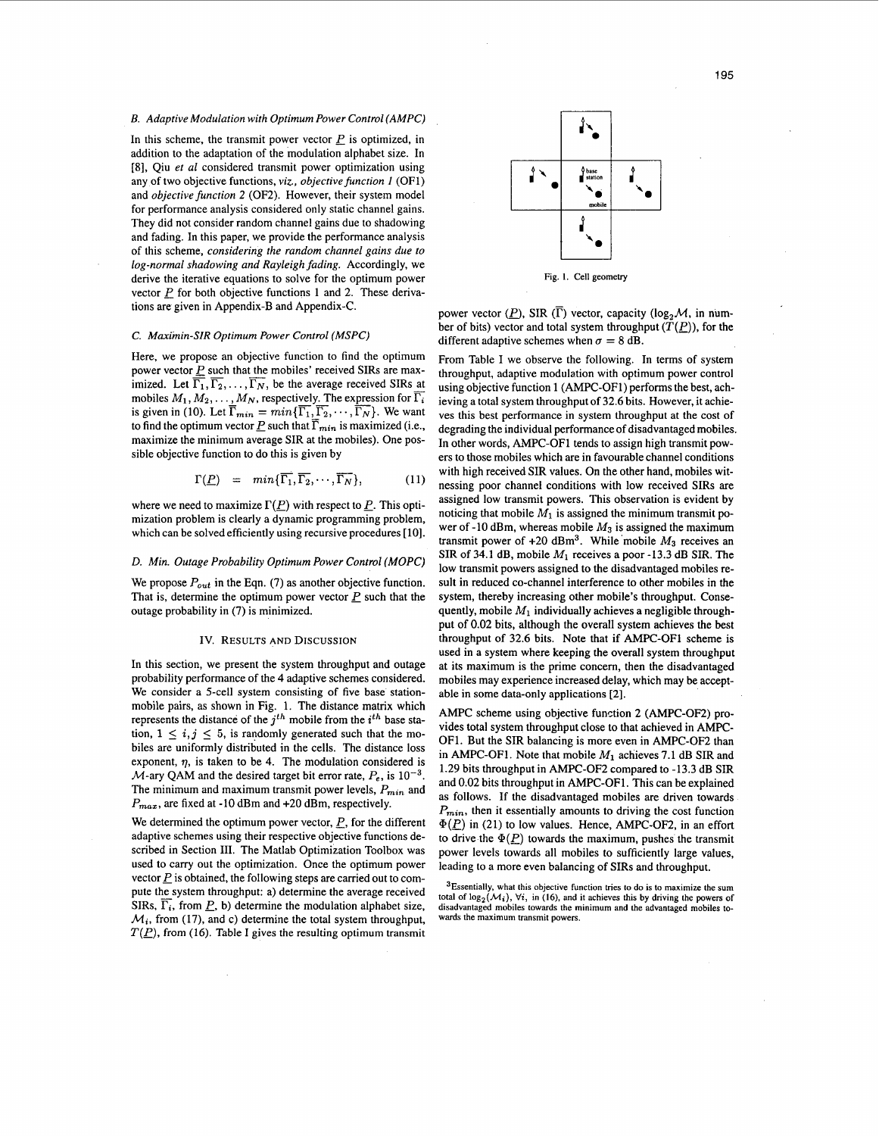# *B. Adaptive Modulation with Optimum Power Control (AMPC)*

In this scheme, the transmit power vector  $P$  is optimized, in addition to the adaptation of the modulation alphabet size. In [8], Qiu *et a1* considered transmit power optimization using any of two objective functions, *viz., objective function 1* (OF1) and *objective function 2* (OF2). However, their system model for performance analysis considered only static channel gains. They did not consider random channel gains due to shadowing and fading. In this paper, we provide the performance analysis of this scheme, *considering the random channel gains due to log-normal shadowing and Rayleigh fading.* Accordingly, we derive the iterative equations to solve for the optimum power vector  $P$  for both objective functions 1 and 2. These derivations are given in Appendix-B and Appendix-C.

#### *C. Maximin-SIR Optimum Power Control (MSPC)*

Here, we propose an objective function to find the optimum power vector  $\frac{p}{\Gamma}$  such that the mobiles' received SIRs are max-<br>imited. Let  $\overline{\overline{\Gamma}}$   $\overline{\overline{\Gamma}}$  be the system received SIRs at imized. Let  $\overline{\Gamma_1}, \overline{\Gamma_2}, \ldots, \overline{\Gamma_N}$ , be the average received SIRs at mobiles *M*<sub>1</sub>, *M*<sub>2</sub>, ...,  $\overline{\Gamma}_N$ , be the average received SIRs are maximized. Let  $\overline{\Gamma}_1$ ,  $\overline{\Gamma}_2$ , ...,  $\overline{\Gamma}_N$ , be the average received SIRs at mobiles *M*<sub>1</sub>, *M*<sub>2</sub>, ..., *M*<sub>N</sub>, respectively. The expressi to find the optimum vector P such that  $\overline{\Gamma}_{min}$  is maximized (i.e., maximize the minimum average SIR at the mobiles). One possible objective function to do this is given by

$$
\Gamma(\underline{P}) = min{\{\overline{\Gamma_1}, \overline{\Gamma_2}, \cdots, \overline{\Gamma_N}\}},
$$
\n(11)

where we need to maximize  $\Gamma(P)$  with respect to P. This optimization problem is clearly a dynamic programming problem, which can be solved efficiently using recursive procedures [10].

#### *D. Min. Outage Probability Optimum Power Control (MOPC)*

We propose  $P_{out}$  in the Eqn. (7) as another objective function. That is, determine the optimum power vector  $\underline{P}$  such that the outage probability in (7) is minimized.

#### Iv. RESULTS AND DISCUSSION

In this section, we present the system throughput and outage probability performance of the 4 adaptive schemes considered. We consider a 5-cell system consisting of five base stationmobile pairs, as shown in Fig. 1. The distance matrix which represents the distance of the *jth* mobile from the *ith* base station,  $1 \leq i, j \leq 5$ , is randomly generated such that the mobiles are uniformly distributed in the cells. The distance **loss**  exponent,  $\eta$ , is taken to be 4. The modulation considered is  $M$ -ary QAM and the desired target bit error rate,  $P_e$ , is  $10^{-3}$ . The minimum and maximum transmit power levels,  $P_{min}$  and *Pmaz,* are fixed at -10 dBm and +20 dBm, respectively.

We determined the optimum power vector, P, for the different adaptive schemes using their respective objective functions described in Section 111. The Matlab Optimization Toolbox was used to carry out the optimization. Once the optimum power vector  $\underline{P}$  is obtained, the following steps are carried out to compute the system throughput: a) determine the average received SIRs,  $\overline{\Gamma_i}$ , from  $\underline{P}$ , b) determine the modulation alphabet size,  $\mathcal{M}_i$ , from (17), and c) determine the total system throughput,  $T(P)$ , from (16). Table I gives the resulting optimum transmit



power vector  $(\underline{P})$ , SIR  $(\overline{\Gamma})$  vector, capacity (log<sub>2</sub> $\mathcal{M}$ , in number of bits) vector and total system throughput  $(\overline{T}(P))$ , for the different adaptive schemes when  $\sigma = 8$  dB.

From Table I we observe the following. In terms of system throughput, adaptive modulation with optimum power control using objective function 1 (AMPC-OFI) performs the best, achieving a total system throughput of 32.6 bits. However, it achieves this best performance in system throughput at the cost of degrading the individual performance of disadvantaged mobiles. In other words, AMPC-OF1 tends to assign high transmit powers to those mobiles which are in favourable channel conditions with high received SIR values. On the other hand, mobiles witnessing poor channel conditions with **low** received SIRS are assigned low transmit powers. This observation is evident by noticing that mobile  $M_1$  is assigned the minimum transmit power of -10 dBm, whereas mobile *M3* is assigned the maximum transmit power of  $+20$  dBm<sup>3</sup>. While mobile  $M_3$  receives an SIR of 34.1 dB, mobile  $M_1$  receives a poor -13.3 dB SIR. The low transmit powers assigned to the disadvantaged mobiles result in reduced co-channel interference to other mobiles in the system, thereby increasing other mobile's throughput. Consequently, mobile  $M_1$  individually achieves a negligible throughput of 0.02 bits, although the overall system achieves the best throughput of 32.6 bits. Note that if AMPC-OF1 scheme is used in a system where keeping the overall system throughput at its maximum is the prime concern, then the disadvantaged mobiles may experience increased delay, which may be acceptable in some data-only applications [2].

AMPC scheme using objective function **2** (AMPC-OF2) provides total system throughput close to that achieved in AMPC-OF1. But the SIR balancing is more even in AMPC-OF2 than in AMPC-OF1. Note that mobile *MI* achieves 7.1 dB SIR and 1.29 bits throughput in AMPC-OF2 compared to -13.3 dB SIR and 0.02 bits throughput in AMPC-OF1. This can be explained as follows. If the disadvantaged mobiles are driven towards  $P_{min}$ , then it essentially amounts to driving the cost function  $\Phi(P)$  in (21) to low values. Hence, AMPC-OF2, in an effort to drive the  $\Phi(P)$  towards the maximum, pushes the transmit power levels towards all mobiles to sufficiently large values, leading to a more even balancing of SIRs and throughput.

**<sup>3</sup>Essentially, what this objective function tries to do is to maximize the sum**  total of  $\log_2(M_i)$ ,  $\forall i$ , in (16), and it achieves this by driving the powers of **disadvantaged mobiles towards the minimum and the advantaged mobiles** to**wards the maximum transmit powers.**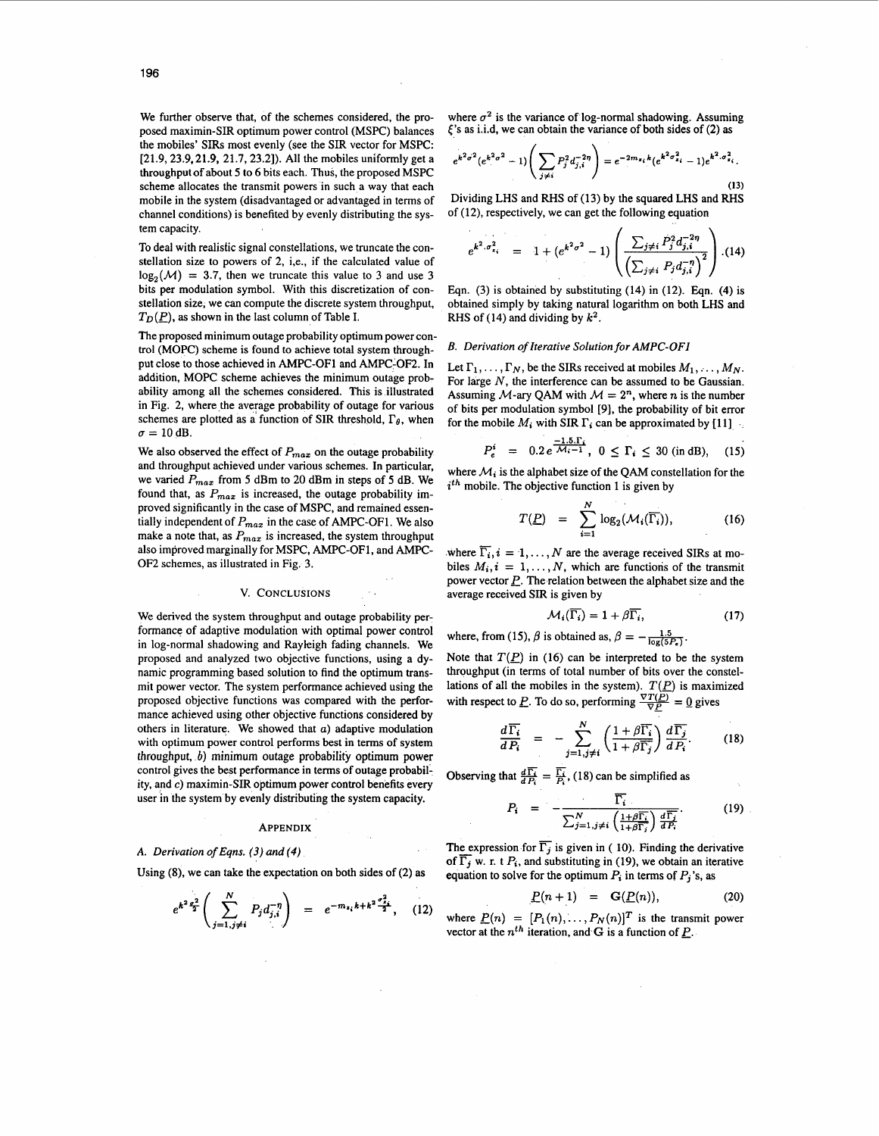We further observe that, of the schemes considered, the proposed maximin-SIR optimum power control **(MSPC)** balances the mobiles' SIRS most evenly (see the SIR vector for **MSPC: [21.9,23.9,21.9, 21.7,23.2]).** All the mobiles uniformly get a throughput of about 5 to 6 bits each. Thus, the proposed **MSPC**  scheme allocates the transmit powers in such a way that each mobile in the system (disadvantaged or advantaged in terms of channel conditions) is benefited by evenly distributing the system capacity.

To deal with realistic signal constellations, we truncate the constellation size to powers of 2, i,e., if the calculated value of log,(M) = **3.7,** then we truncate this value to **3** and use **3**  bits per modulation symbol. With this discretization of constellation size, we can compute the discrete system throughput,  $T_D(P)$ , as shown in the last column of Table I.

The proposed minimum outage probability optimum power control **(MOPC)** scheme is found to achieve total system throughput close to those achieved in **AMPC-OF1** and **AMPC-OF2.** In addition, **MOPC** scheme achieves the minimum outage probability among all the schemes considered. This is illustrated in Fig. **2,** where the average probability of outage for various schemes are plotted as a function of SIR threshold,  $\Gamma_{\theta}$ , when  $\sigma = 10$  dB.

We also observed the effect of *Pmaz* on the outage probability and throughput achieved under various schemes. In particular, we varied  $P_{max}$  from 5 dBm to 20 dBm in steps of 5 dB. We found that, as  $P_{max}$  is increased, the outage probability improved significantly in the case of **MSPC,** and remained essentially independent of  $P_{max}$  in the case of AMPC-OF1. We also make a note that, as  $P_{max}$  is increased, the system throughput also improved marginally for **MSPC, AMPC-OF1,** and **AMPC-OF2** schemes, as illustrated in Fig. 3.

#### **V. CONCLUSIONS**

We derived the system throughput and outage probability performance of adaptive modulation with optimal power control in log-normal shadowing and Rayleigh fading channels. We proposed and analyzed two objective functions, using a dynamic programming based solution to find the optimum transmit power vector. The system performance achieved using the proposed objective functions was compared with the performance achieved using other objective functions considered by others in literature. We showed that  $a$ ) adaptive modulation with optimum power control performs best in terms of system throughput, b) minimum outage probability optimum power control gives the best performance in terms of outage probability, and *c)* maximin-SIR optimum power control benefits every user in the system by evenly distributing the system capacity.

# APPENDIX

### *A. Derivation of Eqns. (3) and (4)*

Using **(8),** we can take the expectation on both sides of **(2) as** 

$$
e^{k^2\frac{\sigma^2}{2}}\left(\sum_{j=1,j\neq i}^N P_j d_{j,i}^{-\eta}\right) = e^{-m_{z_i}k+k^2\frac{\sigma^2_{z_i}}{2}}, \quad (12)
$$

where  $\sigma^2$  is the variance of log-normal shadowing. Assuming **('s** as i.i.d, we can obtain the variance of both sides of (2) **as** 

$$
e^{k^2 \sigma^2} (e^{k^2 \sigma^2} - 1) \left( \sum_{j \neq i} P_j^2 d_{j,i}^{-2\eta} \right) = e^{-2m_{z_i} k} (e^{k^2 \sigma_{z_i}^2} - 1) e^{k^2 \sigma_{z_i}^2}.
$$

**(13)**  Dividing LHS and RHS of **(1** 3) by the squared LHS and RHS of **(12),** respectively, we can get the following equation

$$
e^{k^2 \cdot \sigma_{z_i}^2} = 1 + (e^{k^2 \sigma^2} - 1) \left( \frac{\sum_{j \neq i} P_j^2 d_{j,i}^{-2\eta}}{\left(\sum_{j \neq i} P_j d_{j,i}^{-\eta}\right)^2} \right) . (14)
$$

Eqn. **(3)** is obtained by substituting **(14)** in **(12). Eqn. (4)** is obtained simply by taking natural logarithm on both LHS and RHS of **(14)** and dividing by *k2.* 

#### *B. Derivation of Iterative Solution for AMPC-OF1*

Let  $\Gamma_1, \ldots, \Gamma_N$ , be the SIRs received at mobiles  $M_1, \ldots, M_N$ . For large N, the interference can be assumed to be Gaussian. Assuming M-ary QAM with  $M = 2<sup>n</sup>$ , where n is the number of bits per modulation symbol **[9],** the probability **of** bit error for the mobile  $M_i$  with SIR  $\Gamma_i$  can be approximated by [11]

$$
P_e^i = 0.2 e^{\frac{-1.5 \cdot \Gamma_i}{\mathcal{M}_i - 1}}, \ 0 \le \Gamma_i \le 30 \text{ (in dB)}, \quad (15)
$$

where  $M_i$  is the alphabet size of the QAM constellation for the *ith* mobile. The objective function **1** is given by

$$
T(\underline{P}) = \sum_{i=1}^{N} \log_2(M_i(\overline{\Gamma_i})), \qquad (16)
$$

where  $\overline{\Gamma_i}$ ,  $i = 1, ..., N$  are the average received SIRs at mobiles  $M_i$ ,  $i = 1, \ldots, N$ , which are functions of the transmit power vector *E.* The relation between the alphabet size and the average received SIR is given by

$$
\mathcal{M}_i(\overline{\Gamma_i}) = 1 + \beta \overline{\Gamma_i}, \tag{17}
$$

where, from (15),  $\beta$  is obtained as,  $\beta = -\frac{1.5}{\log(5P_0)}$ .

Note that  $T(\underline{P})$  in (16) can be interpreted to be the system throughput (in terms of total number of bits over the constellations of all the mobiles in the system).  $T(\underline{P})$  is maximized with respect to *P*. To do so, performing  $\frac{\nabla T(\overline{P})}{\nabla P} = 0$  gives

$$
\frac{d\overline{\Gamma_i}}{dP_i} = -\sum_{j=1, j\neq i}^{N} \left(\frac{1+\beta\overline{\Gamma_i}}{1+\beta\overline{\Gamma_j}}\right) \frac{d\overline{\Gamma_j}}{dP_i}.
$$
 (18)

Observing that  $\frac{d\overline{\Gamma_i}}{dP_i} = \frac{\overline{\Gamma_i}}{P_i}$ , (18) can be simplified as

$$
P_i = -\frac{\overline{\Gamma_i}}{\sum_{j=1, j\neq i}^N \left(\frac{1+\beta\overline{\Gamma_i}}{1+\beta\overline{\Gamma_j}}\right) \frac{d\overline{\Gamma_j}}{d\overline{P_i}}}.
$$
(19)

The expression for  $\overline{\Gamma_i}$  is given in ( 10). Finding the derivative of  $\overline{\Gamma_j}$  w. r. t  $P_i$ , and substituting in (19), we obtain an iterative equation to solve for the optimum  $P_i$  in terms of  $P_j$ 's, as

$$
P(n+1) = G(P(n)), \qquad (20)
$$

where  $\underline{P}(n) = [P_1(n), \ldots, P_N(n)]^T$  is the transmit power vector at the  $n^{th}$  iteration, and G is a function of  $P$ .